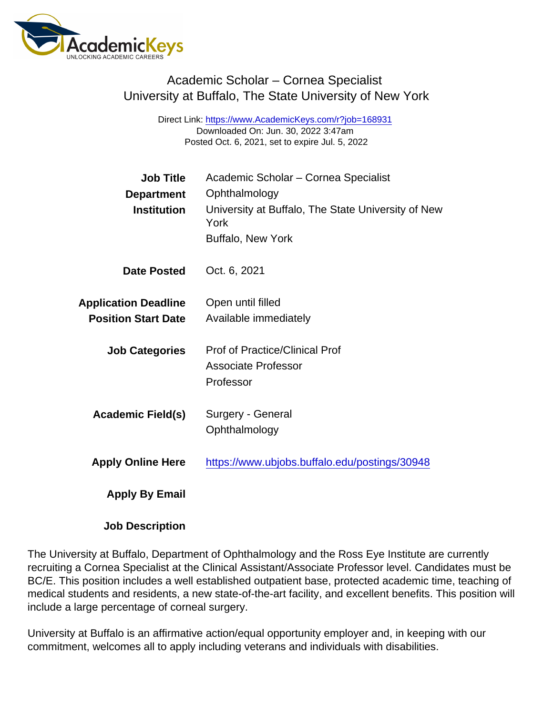## Academic Scholar – Cornea Specialist University at Buffalo, The State University of New York

Direct Link: <https://www.AcademicKeys.com/r?job=168931> Downloaded On: Jun. 30, 2022 3:47am Posted Oct. 6, 2021, set to expire Jul. 5, 2022

| <b>Job Title</b>            | Academic Scholar - Cornea Specialist                       |
|-----------------------------|------------------------------------------------------------|
| Department                  | Ophthalmology                                              |
| Institution                 | University at Buffalo, The State University of New<br>York |
|                             | <b>Buffalo, New York</b>                                   |
| Date Posted                 | Oct. 6, 2021                                               |
| <b>Application Deadline</b> | Open until filled                                          |
| <b>Position Start Date</b>  | Available immediately                                      |
| <b>Job Categories</b>       | <b>Prof of Practice/Clinical Prof</b>                      |
|                             | <b>Associate Professor</b>                                 |
|                             | Professor                                                  |
| Academic Field(s)           | Surgery - General                                          |
|                             | Ophthalmology                                              |
| <b>Apply Online Here</b>    | https://www.ubjobs.buffalo.edu/postings/30948              |
| Apply By Email              |                                                            |
|                             |                                                            |

Job Description

The University at Buffalo, Department of Ophthalmology and the Ross Eye Institute are currently recruiting a Cornea Specialist at the Clinical Assistant/Associate Professor level. Candidates must be BC/E. This position includes a well established outpatient base, protected academic time, teaching of medical students and residents, a new state-of-the-art facility, and excellent benefits. This position will include a large percentage of corneal surgery.

University at Buffalo is an affirmative action/equal opportunity employer and, in keeping with our commitment, welcomes all to apply including veterans and individuals with disabilities.